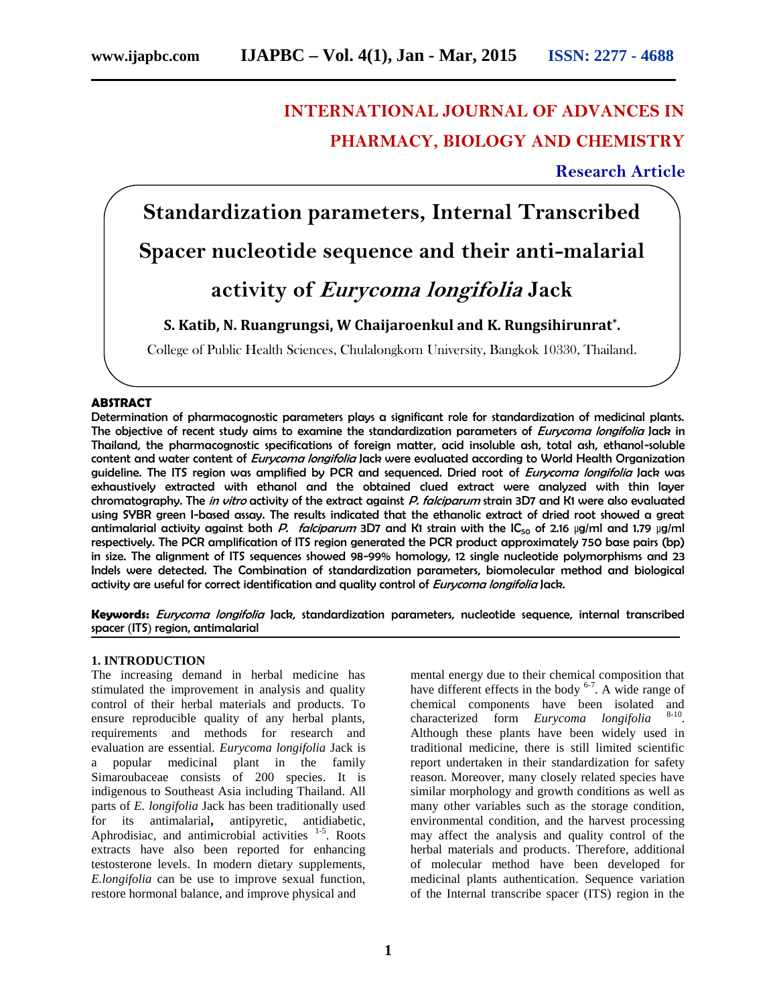# **INTERNATIONAL JOURNAL OF ADVANCES IN PHARMACY, BIOLOGY AND CHEMISTRY**

## **Research Article**

**Standardization parameters, Internal Transcribed Spacer nucleotide sequence and their anti-malarial activity of** *Eurycoma longifolia* **Jack**

## **S. Katib, N. Ruangrungsi, W Chaijaroenkul and K. Rungsihirunrat\* .**

College of Public Health Sciences, Chulalongkorn University, Bangkok 10330, Thailand.

#### **ABSTRACT**

Determination of pharmacognostic parameters plays a significant role for standardization of medicinal plants. The objective of recent study aims to examine the standardization parameters of *Eurycoma longifolia* Jack in Thailand, the pharmacognostic specifications of foreign matter, acid insoluble ash, total ash, ethanol-soluble content and water content of *Eurycoma longifolia* Jack were evaluated according to World Health Organization guideline. The ITS region was amplified by PCR and sequenced. Dried root of *Eurycoma longifolia* Jack was exhaustively extracted with ethanol and the obtained clued extract were analyzed with thin layer chromatography. The *in vitro* activity of the extract against *P. falciparum* strain 3D7 and K1 were also evaluated using SYBR green I-based assay. The results indicated that the ethanolic extract of dried root showed a great antimalarial activity against both *P. falciparum* 3D7 and K1 strain with the IC<sub>50</sub> of 2.16 µg/ml and 1.79 µg/ml respectively. The PCR amplification of ITS region generated the PCR product approximately 750 base pairs (bp) in size. The alignment of ITS sequences showed 98-99% homology, 12 single nucleotide polymorphisms and 23 Indels were detected. The Combination of standardization parameters, biomolecular method and biological activity are useful for correct identification and quality control of *Eurycoma longifolia* Jack.

**Keywords:** *Eurycoma longifolia* Jack, standardization parameters, nucleotide sequence, internal transcribed spacer (ITS) region, antimalarial

#### **1. INTRODUCTION**

The increasing demand in herbal medicine has stimulated the improvement in analysis and quality control of their herbal materials and products. To ensure reproducible quality of any herbal plants, requirements and methods for research and evaluation are essential. *Eurycoma longifolia* Jack is a popular medicinal plant in the family Simaroubaceae consists of 200 species. It is indigenous to Southeast Asia including Thailand. All parts of *E. longifolia* Jack has been traditionally used for its antimalarial**,** antipyretic, antidiabetic, Aphrodisiac, and antimicrobial activities  $1-5$ . Roots extracts have also been reported for enhancing testosterone levels. In modern dietary supplements, *E.longifolia* can be use to improve sexual function, restore hormonal balance, and improve physical and

mental energy due to their chemical composition that have different effects in the body  $6-7$ . A wide range of chemical components have been isolated and characterized form *Eurycoma longifolia* . Although these plants have been widely used in traditional medicine, there is still limited scientific report undertaken in their standardization for safety reason. Moreover, many closely related species have similar morphology and growth conditions as well as many other variables such as the storage condition, environmental condition, and the harvest processing may affect the analysis and quality control of the herbal materials and products. Therefore, additional of molecular method have been developed for medicinal plants authentication. Sequence variation of the Internal transcribe spacer (ITS) region in the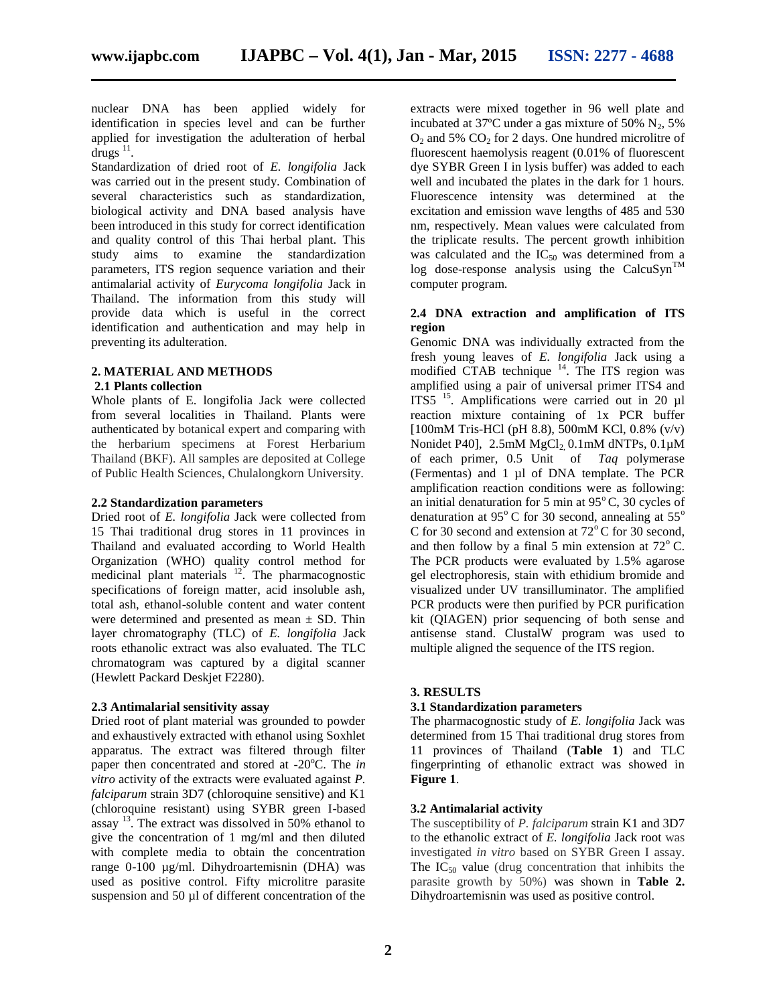nuclear DNA has been applied widely for identification in species level and can be further applied for investigation the adulteration of herbal drugs  $^{11}$ .

Standardization of dried root of *E. longifolia* Jack was carried out in the present study. Combination of several characteristics such as standardization, biological activity and DNA based analysis have been introduced in this study for correct identification and quality control of this Thai herbal plant. This study aims to examine the standardization parameters, ITS region sequence variation and their antimalarial activity of *Eurycoma longifolia* Jack in Thailand. The information from this study will provide data which is useful in the correct identification and authentication and may help in preventing its adulteration.

### **2. MATERIAL AND METHODS**

#### **2.1 Plants collection**

Whole plants of E. longifolia Jack were collected from several localities in Thailand. Plants were authenticated by botanical expert and comparing with the herbarium specimens at Forest Herbarium Thailand (BKF). All samples are deposited at College of Public Health Sciences, Chulalongkorn University.

#### **2.2 Standardization parameters**

Dried root of *E. longifolia* Jack were collected from 15 Thai traditional drug stores in 11 provinces in Thailand and evaluated according to World Health Organization (WHO) quality control method for medicinal plant materials  $12$ . The pharmacognostic specifications of foreign matter, acid insoluble ash, total ash, ethanol-soluble content and water content were determined and presented as mean  $\pm$  SD. Thin layer chromatography (TLC) of *E. longifolia* Jack roots ethanolic extract was also evaluated. The TLC chromatogram was captured by a digital scanner (Hewlett Packard Deskjet F2280).

#### **2.3 Antimalarial sensitivity assay**

Dried root of plant material was grounded to powder and exhaustively extracted with ethanol using Soxhlet apparatus. The extract was filtered through filter paper then concentrated and stored at -20<sup>o</sup>C. The *in vitro* activity of the extracts were evaluated against *P. falciparum* strain 3D7 (chloroquine sensitive) and K1 (chloroquine resistant) using SYBR green I-based assay  $^{13}$ . The extract was dissolved in 50% ethanol to give the concentration of 1 mg/ml and then diluted with complete media to obtain the concentration range 0-100 µg/ml. Dihydroartemisnin (DHA) was used as positive control. Fifty microlitre parasite suspension and 50 µl of different concentration of the

extracts were mixed together in 96 well plate and incubated at 37 $^{\circ}$ C under a gas mixture of 50% N<sub>2</sub>, 5%  $O_2$  and 5%  $CO_2$  for 2 days. One hundred microlitre of fluorescent haemolysis reagent (0.01% of fluorescent dye SYBR Green I in lysis buffer) was added to each well and incubated the plates in the dark for 1 hours. Fluorescence intensity was determined at the excitation and emission wave lengths of 485 and 530 nm, respectively. Mean values were calculated from the triplicate results. The percent growth inhibition was calculated and the  $IC_{50}$  was determined from a log dose-response analysis using the CalcuSyn<sup>TM</sup> computer program.

#### **2.4 DNA extraction and amplification of ITS region**

Genomic DNA was individually extracted from the fresh young leaves of *E. longifolia* Jack using a modified CTAB technique  $14$ . The ITS region was amplified using a pair of universal primer ITS4 and ITS5<sup>15</sup>. Amplifications were carried out in 20 µl reaction mixture containing of 1x PCR buffer [100mM Tris-HCl (pH 8.8), 500mM KCl, 0.8% (v/v) Nonidet P40],  $2.5 \text{mM}$  MgCl<sub>2</sub> 0.1mM dNTPs, 0.1 $\mu$ M of each primer, 0.5 Unit of *Taq* polymerase (Fermentas) and 1 µl of DNA template. The PCR amplification reaction conditions were as following: an initial denaturation for 5 min at  $95^{\circ}$ C, 30 cycles of denaturation at 95 $^{\circ}$ C for 30 second, annealing at 55 $^{\circ}$ C for 30 second and extension at  $72^{\circ}$ C for 30 second, and then follow by a final 5 min extension at  $72^{\circ}$  C. The PCR products were evaluated by 1.5% agarose gel electrophoresis, stain with ethidium bromide and visualized under UV transilluminator. The amplified PCR products were then purified by PCR purification kit (QIAGEN) prior sequencing of both sense and antisense stand. ClustalW program was used to multiple aligned the sequence of the ITS region.

#### **3. RESULTS**

#### **3.1 Standardization parameters**

The pharmacognostic study of *E. longifolia* Jack was determined from 15 Thai traditional drug stores from 11 provinces of Thailand (**Table 1**) and TLC fingerprinting of ethanolic extract was showed in **Figure 1**.

### **3.2 Antimalarial activity**

The susceptibility of *P. falciparum* strain K1 and 3D7 to the ethanolic extract of *E. longifolia* Jack root was investigated *in vitro* based on SYBR Green I assay. The  $IC_{50}$  value (drug concentration that inhibits the parasite growth by 50%) was shown in **Table 2.** Dihydroartemisnin was used as positive control.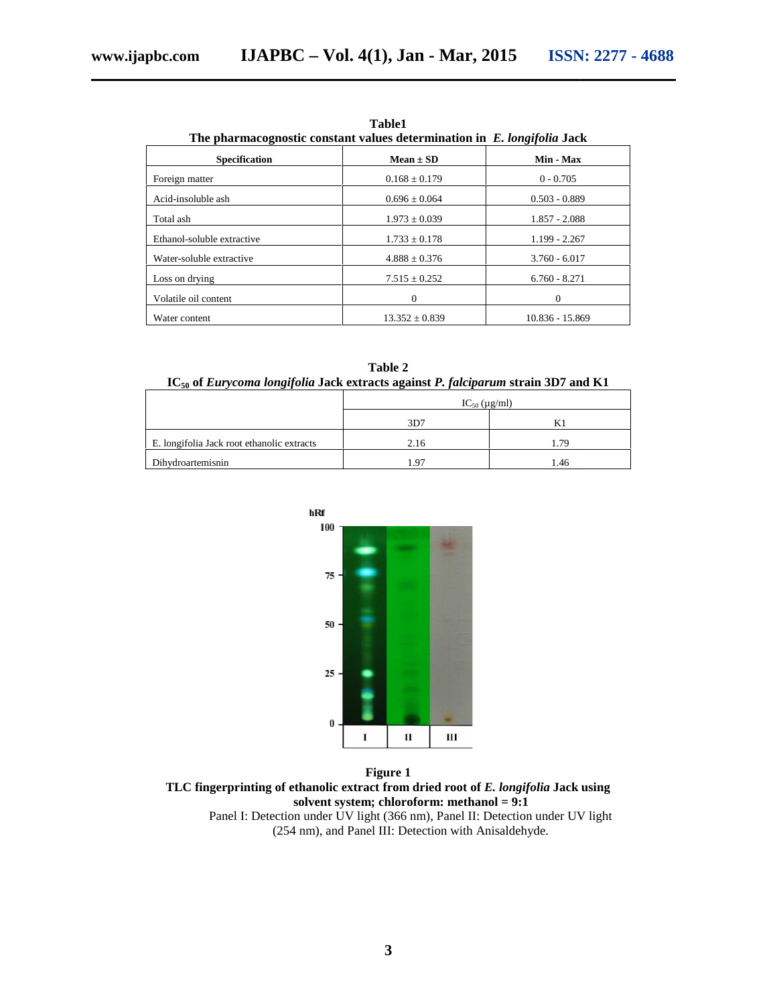| The pharmacognostic constant values determination in E. longifolia Jack                       | Table1             |                            |
|-----------------------------------------------------------------------------------------------|--------------------|----------------------------|
| Specification                                                                                 | $Mean \pm SD$      | Min - Max                  |
| Foreign matter                                                                                | $0.168 \pm 0.179$  | $0 - 0.705$                |
| Acid-insoluble ash                                                                            | $0.696 \pm 0.064$  | $0.503 - 0.889$            |
| Total ash                                                                                     | $1.973 \pm 0.039$  | $1.857 - 2.088$            |
| Ethanol-soluble extractive                                                                    | $1.733 \pm 0.178$  | 1.199 - 2.267              |
| Water-soluble extractive                                                                      | $4.888 \pm 0.376$  | $3.760 - 6.017$            |
| Loss on drying                                                                                | $7.515 \pm 0.252$  | $6.760 - 8.271$            |
| Volatile oil content                                                                          | $\boldsymbol{0}$   | $\boldsymbol{0}$           |
| Water content                                                                                 | $13.352 \pm 0.839$ | 10.836 - 15.869            |
|                                                                                               |                    |                            |
|                                                                                               | Table 2            |                            |
| IC <sub>50</sub> of Eurycoma longifolia Jack extracts against P. falciparum strain 3D7 and K1 |                    |                            |
|                                                                                               | 3D7                | $IC_{50} (\mu g/ml)$<br>K1 |
|                                                                                               |                    |                            |
|                                                                                               | 2.16               | 1.79                       |
|                                                                                               | 1.97               | 1.46                       |
| hRf<br>100<br>$75 -$<br>50<br>25<br>0                                                         | I<br>П<br>Ш        |                            |
| E. longifolia Jack root ethanolic extracts<br>Dihydroartemisnin                               |                    |                            |
|                                                                                               | <b>Figure 1</b>    |                            |

**Table1**

| Table 2                                                                                       |  |
|-----------------------------------------------------------------------------------------------|--|
| $IC_{50}$ of <i>Eurycoma longifolia</i> Jack extracts against P. falciparum strain 3D7 and K1 |  |

|                                            | $IC_{50} (\mu g/ml)$ |      |
|--------------------------------------------|----------------------|------|
|                                            | 3D7                  |      |
| E. longifolia Jack root ethanolic extracts | 2.16                 | 1.79 |
| Dihydroartemisnin                          | . 97                 | . 46 |



**Figure 1 TLC fingerprinting of ethanolic extract from dried root of** *E. longifolia* **Jack using solvent system; chloroform: methanol = 9:1** Panel I: Detection under UV light (366 nm), Panel II: Detection under UV light (254 nm), and Panel III: Detection with Anisaldehyde.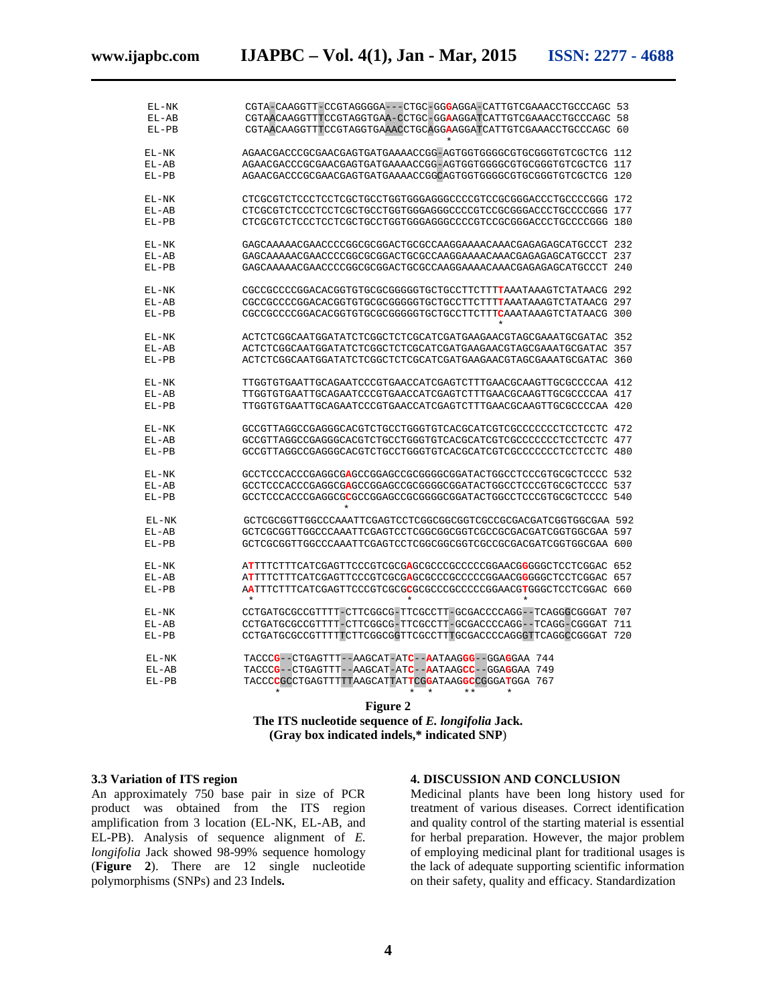| EL-NK   | CGTA-CAAGGTT-CCGTAGGGGA---CTGC-GGGAGGA-CATTGTCGAAACCTGCCCAGC 53                                 |  |
|---------|-------------------------------------------------------------------------------------------------|--|
| $EL-AB$ | CGTAACAAGGTTTCCGTAGGTGAA-CCTGC-GGAAGGATCATTGTCGAAACCTGCCCAGC 58                                 |  |
| $EL-PB$ | CGTAACAAGGTTTCCGTAGGTGAAACCTGCAGGAAGGATCATTGTCGAAACCTGCCCAGC 60                                 |  |
| EL-NK   | AGAACGACCCGCGAACGAGTGATGAAAACCGG-AGTGGTGGGGCGTGCGGGTGTCGCTCG 112                                |  |
| EL-AB   | AGAACGACCCGCGAACGAGTGATGAAAACCGG-AGTGGTGGGGCGTGCGGGTGTCGCTCG 117                                |  |
| $EL-PB$ | AGAACGACCCGCGAACGAGTGATGAAAACCGGCAGTGGTGGGCGTGCGGGTGTCGCTCG 120                                 |  |
| EL-NK   | CTCGCGTCTCCCTCCTCGCTGCTGGTGGGAGGGCCCCGTCCGCGGGACCCTGCCCCGGG 172                                 |  |
| $EL-AB$ | CTCGCGTCTCCCTCCTCGCTGCCTGGTGGAGGGCCCCGTCCGCGGACCCTGCCCCGGG 177                                  |  |
| $EL-PB$ | CTCGCGTCTCCCTCCTCGCTGCCTGGTGGAGGGCCCCGTCCGCGGACCCTGCCCCGGG 180                                  |  |
| $EL-NK$ |                                                                                                 |  |
| EL-AB   |                                                                                                 |  |
| $EL-PB$ |                                                                                                 |  |
| $EL-NK$ | CGCCGCCCCGGACACGGTGTGCGCGGGGTGCTGCCTTCTTTTAAATAAGTCTATAACG 292                                  |  |
| EL-AB   | CGCCGCCCCGGACACGGTGTGCGCGGGGTGCTGCCTTCTTTTAAATAAGTCTATAACG 297                                  |  |
| $EL-PB$ | CGCCGCCCCGGACACGGTGTGCGCGGGGGTGCTGCCTTCTTTCAAATAAAGTCTATAACG 300                                |  |
| $EL-NK$ | ACTCTCGGCAATGGATATCTCGGCTCTCGCATCGATGAAGAACGTAGCGAAATGCGATAC 352                                |  |
| EL-AB   | ACTCTCGGCAATGGATATCTCGGCTCTCGCATCGATGAAGAACGTAGCGAAATGCGATAC 357                                |  |
| $EL-PB$ | ACTCTCGGCAATGGATATCTCGGCTCTCGCATCGATGAAGAACGTAGCGAAATGCGATAC 360                                |  |
| EL-NK   | TTGGTGTGAATTGCAGAATCCCGTGAACCATCGAGTCTTTGAACGCAAGTTGCGCCCCAA 412                                |  |
| $EL-AB$ | TTGGTGTGAATTGCAGAATCCCGTGAACCATCGAGTCTTTGAACGCAAGTTGCGCCCCAA 417                                |  |
| EL-PB   | TTGGTGTGAATTGCAGAATCCCGTGAACCATCGAGTCTTTGAACGCAAGTTGCGCCCCAA 420                                |  |
| $EL-NK$ | GCCGTTAGGCCGAGGCACGTCTGCCTGGGTGTCACGCATCGTCGCCCCCCCTCCTCCTC 472                                 |  |
| $EL-AB$ | GCCGTTAGGCCGAGGCACGTCTGCCTGGGTGTCACGCATCGTCGCCCCCCCTCCTCCTC 477                                 |  |
| $EL-PB$ | GCCGTTAGGCCGAGGGCACGTCTGCCTGGGTGTCACGCATCGTCGCCCCCCCTCCTCCTC 480                                |  |
| EL-NK   | GCCTCCCACCCGAGGCGAGCCGGAGCCGCGGGCGGATACTGGCCTCCCGTGCGCTCCCC 532                                 |  |
| EL-AB   | GCCTCCCACCCGAGGCGAGCCGGAGCCGCGGGCGGATACTGGCCTCCCGTGCGCTCCCC 537                                 |  |
| $EL-PB$ | GCCTCCCACCCGAGGCGCGCCGGAGCCGCGGGGCGGATACTGGCCTCCCGTGCGCTCCCC 540<br>$\star$                     |  |
| EL-NK   | GCTCGCGGTTGGCCCAAATTCGAGTCCTCGGCGGCGGTCGCCGCGACGATCGGTGGCGAA 592                                |  |
| EL-AB   | GCTCGCGGTTGGCCCAAATTCGAGTCCTCGGCGGCGGTCGCCGCGACGATCGGTGGCGAA 597                                |  |
| $EL-PB$ | GCTCGCGGTTGGCCCAAATTCGAGTCCTCGGCGGCGGTCGCCGCGACGATCGGTGGCGAA 600                                |  |
| EL-NK   | ATTTTCTTTCATCGAGTTCCCGTCGCGAGCGCCCGCCCCCGGAACGGGGCTCCTCGGAC 652                                 |  |
| EL-AB   | ATTTTCTTTCATCGAGTTCCCGTCGCGGAGCGCCCCCCCGGAACGGGGGCTCCTCGGAC 657                                 |  |
| $EL-PB$ | AATTTCTTTCATCGAGTTCCCGTCGCGGGCGCCCCCCCCGGAACGTGGGCTCCTCGGAC 660<br>$\ast$<br>$\star$<br>$\star$ |  |
| EL-NK   | CCTGATGCGCCGTTTT-CTTCGGCG-TTCGCCTT-GCGACCCCAGG--TCAGGGCGGGAT 707                                |  |
| EL-AB   | CCTGATGCGCCGTTTT-CTTCGGCG-TTCGCCTT-GCGACCCCAGG--TCAGG-CGGGAT 711                                |  |
| $EL-PB$ | CCTGATGCGCCGTTTTTCTTCGGCGGTTCGCCTTTGCGACCCCAGGGTTCAGGCCGGGAT 720                                |  |
| EL-NK   | TACCCG--CTGAGTTT--AAGCAT-ATC--AATAAGGG--GGAGGAA 744                                             |  |
| EL-AB   | TACCCG--CTGAGTTT--AAGCAT-ATC--AATAAGCC--GGAGGAA 749                                             |  |
| $EL-PB$ | TACCCCCCCTGAGTTTTTAAGCATTATTCGGATAAGGCCGGGATGGA 767<br>$+ +$<br>$\star$<br>÷<br>$\star$         |  |
|         |                                                                                                 |  |

**Figure 2 The ITS nucleotide sequence of** *E. longifolia* **Jack. (Gray box indicated indels,\* indicated SNP**)

#### **3.3 Variation of ITS region**

An approximately 750 base pair in size of PCR product was obtained from the ITS region amplification from 3 location (EL-NK, EL-AB, and EL-PB). Analysis of sequence alignment of *E. longifolia* Jack showed 98-99% sequence homology (**Figure 2**). There are 12 single nucleotide polymorphisms (SNPs) and 23 Indel**s.**

#### **4. DISCUSSION AND CONCLUSION**

Medicinal plants have been long history used for treatment of various diseases. Correct identification and quality control of the starting material is essential for herbal preparation. However, the major problem of employing medicinal plant for traditional usages is the lack of adequate supporting scientific information on their safety, quality and efficacy. Standardization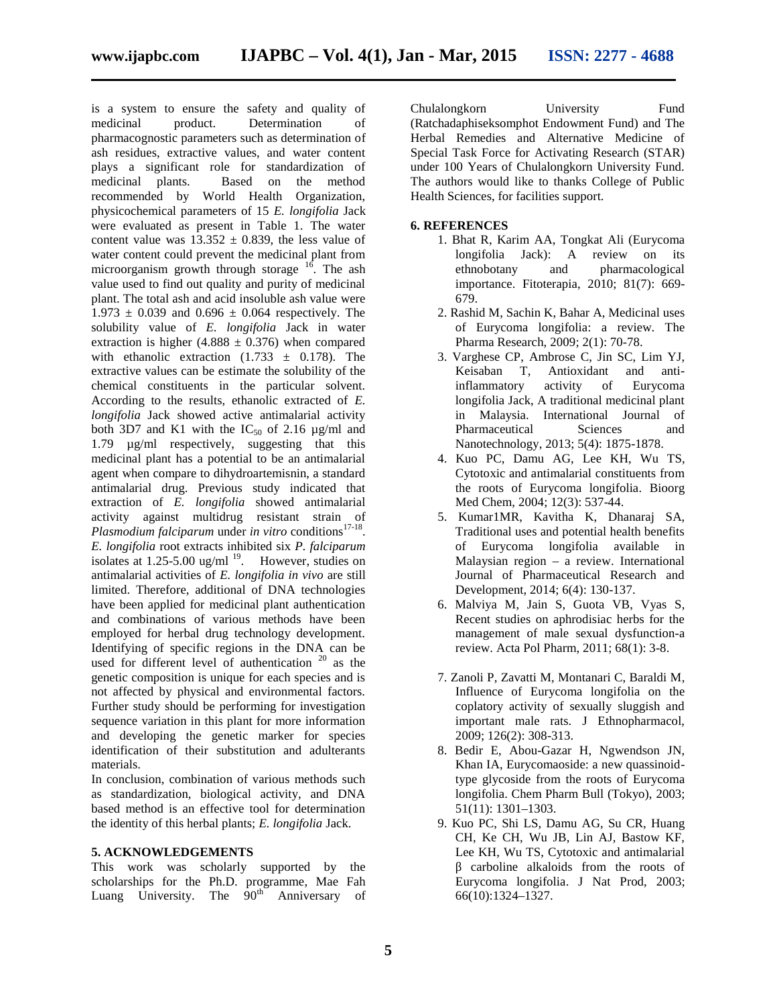is a system to ensure the safety and quality of medicinal product. Determination of pharmacognostic parameters such as determination of ash residues, extractive values, and water content plays a significant role for standardization of medicinal plants. Based on the method recommended by World Health Organization, physicochemical parameters of 15 *E. longifolia* Jack were evaluated as present in Table 1. The water content value was  $13.352 \pm 0.839$ , the less value of water content could prevent the medicinal plant from microorganism growth through storage <sup>16</sup>. The ash value used to find out quality and purity of medicinal plant. The total ash and acid insoluble ash value were  $1.973 \pm 0.039$  and  $0.696 \pm 0.064$  respectively. The solubility value of *E. longifolia* Jack in water extraction is higher (4.888  $\pm$  0.376) when compared with ethanolic extraction  $(1.733 \pm 0.178)$ . The extractive values can be estimate the solubility of the chemical constituents in the particular solvent. According to the results, ethanolic extracted of *E. longifolia* Jack showed active antimalarial activity both 3D7 and K1 with the  $IC_{50}$  of 2.16  $\mu$ g/ml and 1.79 µg/ml respectively, suggesting that this medicinal plant has a potential to be an antimalarial agent when compare to dihydroartemisnin, a standard antimalarial drug. Previous study indicated that extraction of *E. longifolia* showed antimalarial activity against multidrug resistant strain of Plasmodium falciparum under in vitro conditions<sup>17-18</sup>. *E. longifolia* root extracts inhibited six *P. falciparum* isolates at  $1.25 - 5.00$  ug/ml  $^{19}$ . However, studies on antimalarial activities of *E. longifolia in vivo* are still limited. Therefore, additional of DNA technologies have been applied for medicinal plant authentication and combinations of various methods have been employed for herbal drug technology development. Identifying of specific regions in the DNA can be used for different level of authentication <sup>20</sup> as the genetic composition is unique for each species and is not affected by physical and environmental factors. Further study should be performing for investigation sequence variation in this plant for more information and developing the genetic marker for species identification of their substitution and adulterants materials.

In conclusion, combination of various methods such as standardization, biological activity, and DNA based method is an effective tool for determination the identity of this herbal plants; *E. longifolia* Jack.

#### **5. ACKNOWLEDGEMENTS**

This work was scholarly supported by the scholarships for the Ph.D. programme, Mae Fah Luang University. The  $90<sup>th</sup>$  Anniversary of

Chulalongkorn University Fund (Ratchadaphiseksomphot Endowment Fund) and The Herbal Remedies and Alternative Medicine of Special Task Force for Activating Research (STAR) under 100 Years of Chulalongkorn University Fund. The authors would like to thanks College of Public Health Sciences, for facilities support.

#### **6. REFERENCES**

- 1. Bhat R, Karim AA, Tongkat Ali (Eurycoma longifolia Jack): A review on its ethnobotany and pharmacological importance. Fitoterapia, 2010; 81(7): 669- 679.
- 2. Rashid M, Sachin K, Bahar A, Medicinal uses of Eurycoma longifolia: a review. The Pharma Research, 2009; 2(1): 70-78.
- 3. Varghese CP, Ambrose C, Jin SC, Lim YJ, Keisaban T, Antioxidant and antiinflammatory activity of Eurycoma longifolia Jack, A traditional medicinal plant in Malaysia. International Journal of Pharmaceutical Sciences and Nanotechnology, 2013; 5(4): 1875-1878.
- 4. Kuo PC, Damu AG, Lee KH, Wu TS, Cytotoxic and antimalarial constituents from the roots of Eurycoma longifolia. Bioorg Med Chem, 2004; 12(3): 537-44.
- 5. Kumar1MR, Kavitha K, Dhanaraj SA, Traditional uses and potential health benefits of Eurycoma longifolia available in Malaysian region – a review. International Journal of Pharmaceutical Research and Development, 2014; 6(4): 130-137.
- 6. Malviya M, Jain S, Guota VB, Vyas S, Recent studies on aphrodisiac herbs for the management of male sexual dysfunction-a review. Acta Pol Pharm, 2011; 68(1): 3-8.
- 7. Zanoli P, Zavatti M, Montanari C, Baraldi M, Influence of Eurycoma longifolia on the coplatory activity of sexually sluggish and important male rats. J Ethnopharmacol, 2009; 126(2): 308-313.
- 8. Bedir E, Abou-Gazar H, Ngwendson JN, Khan IA, Eurycomaoside: a new quassinoidtype glycoside from the roots of Eurycoma longifolia. Chem Pharm Bull (Tokyo), 2003; 51(11): 1301–1303.
- 9. Kuo PC, Shi LS, Damu AG, Su CR, Huang CH, Ke CH, Wu JB, Lin AJ, Bastow KF, Lee KH, Wu TS, Cytotoxic and antimalarial carboline alkaloids from the roots of Eurycoma longifolia. J Nat Prod, 2003; 66(10):1324–1327.